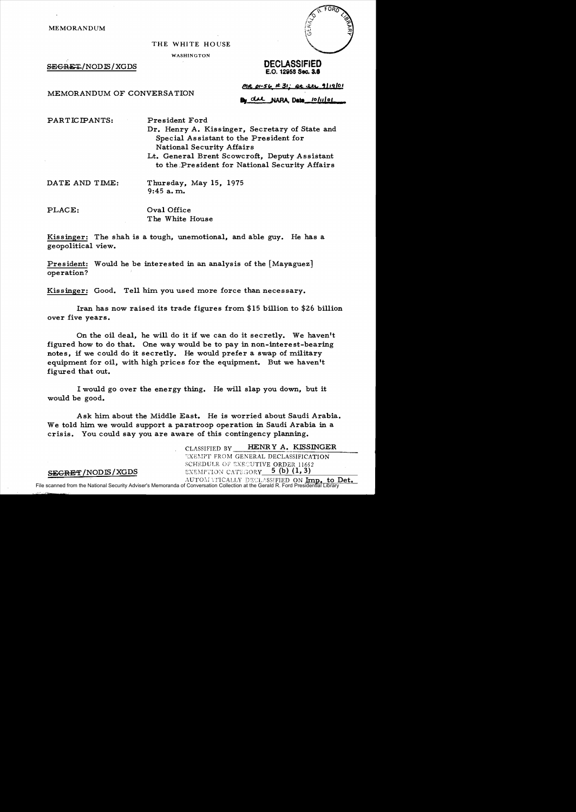MEMORANDUM

## THE WHITE HOUSE

WASHINGTON

SECRE'l!./NODIS / XGDS **DECLASSIFIED** 

FORT

E.O. **12i59 Sec. 3.8** 

MEMORANDUM OF CONVERSATION

 $*ot*-5*b*$  $\neq$  *31; at let 9/19/01* 

del NARA Date 10/11/01

PARTICIPANTS: President Ford

Dr. Henry A. Kissinger, Secretary of State and Special Assistant to the President for National Security Affairs

Lt. General Brent Scowcroft, Deputy Assistant to the :Pre sident for National Security Affairs

DATE AND TIME: Thursday, May 15, 1975 9:45 a. m..

PLACE: Oval Office The White House

Kissinger: The shah is a tough, unemotional, and able guy. He has a geopolitical view.

President: Would he be interested in an analysis of the [Mayaguez] operation?

Kissinger: Good. Tell him you used more force than necessary.

Iran has now raised its trade figures from. \$15 billion to \$26 billion over five years.

On the oil deal, he will do it if we can do it secretly. We haven't figured how to do that. One way would be to pay in non-interest-bearing notes, if we could do it secretly. He would prefer a swap of military equipment for oil, with high prices for the equipment. But we haven't figured that out.

I would go over the energy thing. He will slap you down, but it would be good.

Ask him. about the Middle East. He is worried about Saudi Arabia. We told him we would support a paratroop operation in Saudi Arabia in a crisis. You could say you are aware of this contingency planning.

> CLASSIFIED BY HENRY A. KISSINGER EXEMPT FROM GENERAL DECLASSIFICATION SCHEDULE OF EXECUTIVE ORDER 11652

## SEGRET/NODIS/XGDS EXEMPTION CATEGORY 5 (b) (1,3)

AUTOM YTICALLY DECLASSIFIED ON Imp. to Det. File scanned from the National Security Adviser's Memoranda of Conversation Collection at the Gerald R. Ford Presidential Library